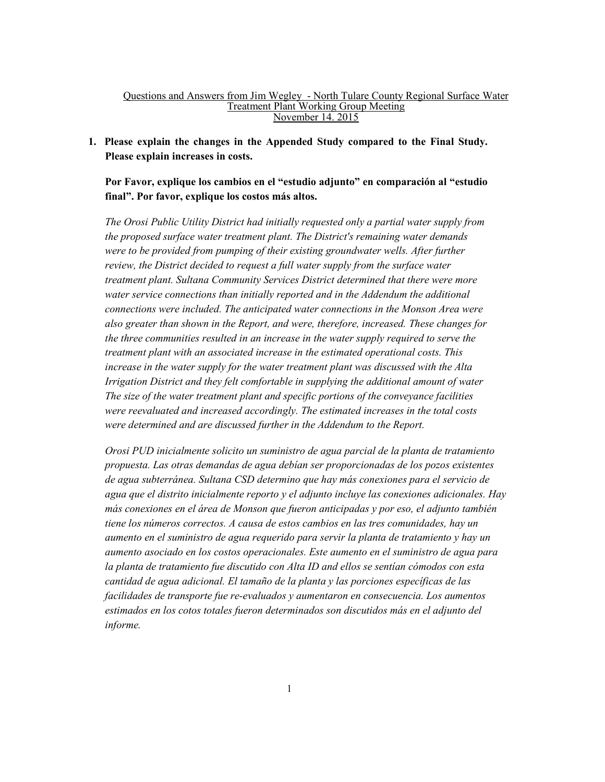#### Questions and Answers from Jim Wegley - North Tulare County Regional Surface Water Treatment Plant Working Group Meeting November 14. 2015

**1. Please explain the changes in the Appended Study compared to the Final Study. Please explain increases in costs.** 

**Por Favor, explique los cambios en el "estudio adjunto" en comparación al "estudio final". Por favor, explique los costos más altos.** 

*The Orosi Public Utility District had initially requested only a partial water supply from the proposed surface water treatment plant. The District's remaining water demands were to be provided from pumping of their existing groundwater wells. After further review, the District decided to request a full water supply from the surface water treatment plant. Sultana Community Services District determined that there were more water service connections than initially reported and in the Addendum the additional connections were included. The anticipated water connections in the Monson Area were also greater than shown in the Report, and were, therefore, increased. These changes for the three communities resulted in an increase in the water supply required to serve the treatment plant with an associated increase in the estimated operational costs. This increase in the water supply for the water treatment plant was discussed with the Alta Irrigation District and they felt comfortable in supplying the additional amount of water The size of the water treatment plant and specific portions of the conveyance facilities were reevaluated and increased accordingly. The estimated increases in the total costs were determined and are discussed further in the Addendum to the Report.* 

*Orosi PUD inicialmente solicito un suministro de agua parcial de la planta de tratamiento propuesta. Las otras demandas de agua debían ser proporcionadas de los pozos existentes de agua subterránea. Sultana CSD determino que hay más conexiones para el servicio de agua que el distrito inicialmente reporto y el adjunto incluye las conexiones adicionales. Hay más conexiones en el área de Monson que fueron anticipadas y por eso, el adjunto también tiene los números correctos. A causa de estos cambios en las tres comunidades, hay un aumento en el suministro de agua requerido para servir la planta de tratamiento y hay un aumento asociado en los costos operacionales. Este aumento en el suministro de agua para la planta de tratamiento fue discutido con Alta ID and ellos se sentían cómodos con esta cantidad de agua adicional. El tamaño de la planta y las porciones específicas de las facilidades de transporte fue re-evaluados y aumentaron en consecuencia. Los aumentos estimados en los cotos totales fueron determinados son discutidos más en el adjunto del informe.*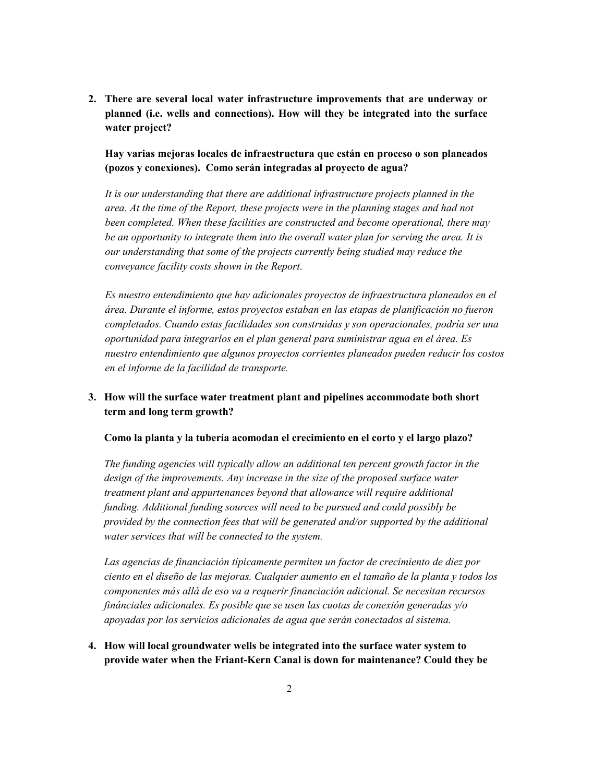**2. There are several local water infrastructure improvements that are underway or planned (i.e. wells and connections). How will they be integrated into the surface water project?** 

**Hay varias mejoras locales de infraestructura que están en proceso o son planeados (pozos y conexiones). Como serán integradas al proyecto de agua?** 

*It is our understanding that there are additional infrastructure projects planned in the area. At the time of the Report, these projects were in the planning stages and had not been completed. When these facilities are constructed and become operational, there may be an opportunity to integrate them into the overall water plan for serving the area. It is our understanding that some of the projects currently being studied may reduce the conveyance facility costs shown in the Report.* 

*Es nuestro entendimiento que hay adicionales proyectos de infraestructura planeados en el área. Durante el informe, estos proyectos estaban en las etapas de planificación no fueron completados. Cuando estas facilidades son construidas y son operacionales, podría ser una oportunidad para integrarlos en el plan general para suministrar agua en el área. Es nuestro entendimiento que algunos proyectos corrientes planeados pueden reducir los costos en el informe de la facilidad de transporte.* 

# **3. How will the surface water treatment plant and pipelines accommodate both short term and long term growth?**

**Como la planta y la tubería acomodan el crecimiento en el corto y el largo plazo?** 

*The funding agencies will typically allow an additional ten percent growth factor in the design of the improvements. Any increase in the size of the proposed surface water treatment plant and appurtenances beyond that allowance will require additional funding. Additional funding sources will need to be pursued and could possibly be provided by the connection fees that will be generated and/or supported by the additional water services that will be connected to the system.* 

*Las agencias de financiación típicamente permiten un factor de crecimiento de diez por ciento en el diseño de las mejoras. Cualquier aumento en el tamaño de la planta y todos los componentes más allá de eso va a requerir financiación adicional. Se necesitan recursos finánciales adicionales. Es posible que se usen las cuotas de conexión generadas y/o apoyadas por los servicios adicionales de agua que serán conectados al sistema.* 

**4. How will local groundwater wells be integrated into the surface water system to provide water when the Friant-Kern Canal is down for maintenance? Could they be**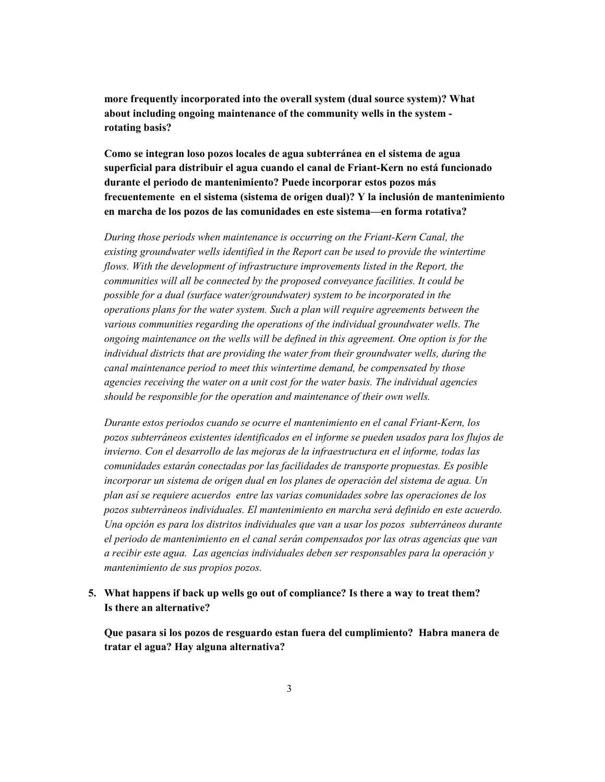**more frequently incorporated into the overall system (dual source system)? What about including ongoing maintenance of the community wells in the system rotating basis?** 

**Como se integran loso pozos locales de agua subterránea en el sistema de agua superficial para distribuir el agua cuando el canal de Friant-Kern no está funcionado durante el periodo de mantenimiento? Puede incorporar estos pozos más frecuentemente en el sistema (sistema de origen dual)? Y la inclusión de mantenimiento en marcha de los pozos de las comunidades en este sistema—en forma rotativa?** 

*During those periods when maintenance is occurring on the Friant-Kern Canal, the existing groundwater wells identified in the Report can be used to provide the wintertime*  flows. With the development of infrastructure improvements listed in the Report, the *communities will all be connected by the proposed conveyance facilities. It could be possible for a dual (surface water/groundwater) system to be incorporated in the operations plans for the water system. Such a plan will require agreements between the various communities regarding the operations of the individual groundwater wells. The ongoing maintenance on the wells will be defined in this agreement. One option is for the individual districts that are providing the water from their groundwater wells, during the canal maintenance period to meet this wintertime demand, be compensated by those agencies receiving the water on a unit cost for the water basis. The individual agencies should be responsible for the operation and maintenance of their own wells.* 

*Durante estos periodos cuando se ocurre el mantenimiento en el canal Friant-Kern, los pozos subterráneos existentes identificados en el informe se pueden usados para los flujos de invierno. Con el desarrollo de las mejoras de la infraestructura en el informe, todas las comunidades estarán conectadas por las facilidades de transporte propuestas. Es posible incorporar un sistema de origen dual en los planes de operación del sistema de agua. Un plan así se requiere acuerdos entre las varias comunidades sobre las operaciones de los pozos subterráneos individuales. El mantenimiento en marcha será definido en este acuerdo. Una opción es para los distritos individuales que van a usar los pozos subterráneos durante el periodo de mantenimiento en el canal serán compensados por las otras agencias que van a recibir este agua. Las agencias individuales deben ser responsables para la operación y mantenimiento de sus propios pozos.* 

## **5. What happens if back up wells go out of compliance? Is there a way to treat them? Is there an alternative?**

**Que pasara si los pozos de resguardo estan fuera del cumplimiento? Habra manera de tratar el agua? Hay alguna alternativa?**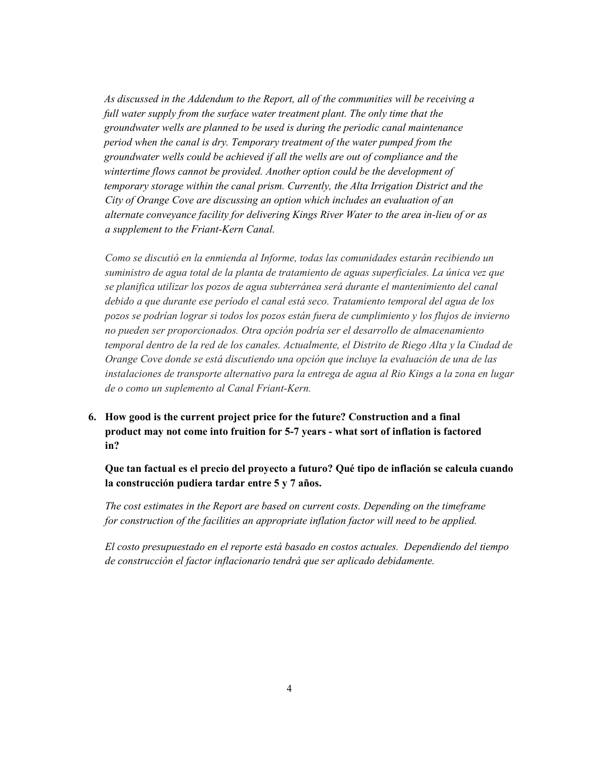*As discussed in the Addendum to the Report, all of the communities will be receiving a*  full water supply from the surface water treatment plant. The only time that the *groundwater wells are planned to be used is during the periodic canal maintenance period when the canal is dry. Temporary treatment of the water pumped from the groundwater wells could be achieved if all the wells are out of compliance and the wintertime flows cannot be provided. Another option could be the development of temporary storage within the canal prism. Currently, the Alta Irrigation District and the City of Orange Cove are discussing an option which includes an evaluation of an alternate conveyance facility for delivering Kings River Water to the area in-lieu of or as a supplement to the Friant-Kern Canal.* 

*Como se discutió en la enmienda al Informe, todas las comunidades estarán recibiendo un suministro de agua total de la planta de tratamiento de aguas superficiales. La única vez que se planifica utilizar los pozos de agua subterránea será durante el mantenimiento del canal debido a que durante ese período el canal está seco. Tratamiento temporal del agua de los pozos se podrían lograr si todos los pozos están fuera de cumplimiento y los flujos de invierno no pueden ser proporcionados. Otra opción podría ser el desarrollo de almacenamiento temporal dentro de la red de los canales. Actualmente, el Distrito de Riego Alta y la Ciudad de Orange Cove donde se está discutiendo una opción que incluye la evaluación de una de las instalaciones de transporte alternativo para la entrega de agua al Rio Kings a la zona en lugar de o como un suplemento al Canal Friant-Kern.*

**6. How good is the current project price for the future? Construction and a final product may not come into fruition for 5-7 years - what sort of inflation is factored in?** 

**Que tan factual es el precio del proyecto a futuro? Qué tipo de inflación se calcula cuando la construcción pudiera tardar entre 5 y 7 años.** 

*The cost estimates in the Report are based on current costs. Depending on the timeframe for construction of the facilities an appropriate inflation factor will need to be applied.* 

*El costo presupuestado en el reporte está basado en costos actuales. Dependiendo del tiempo de construcción el factor inflacionario tendrá que ser aplicado debidamente.*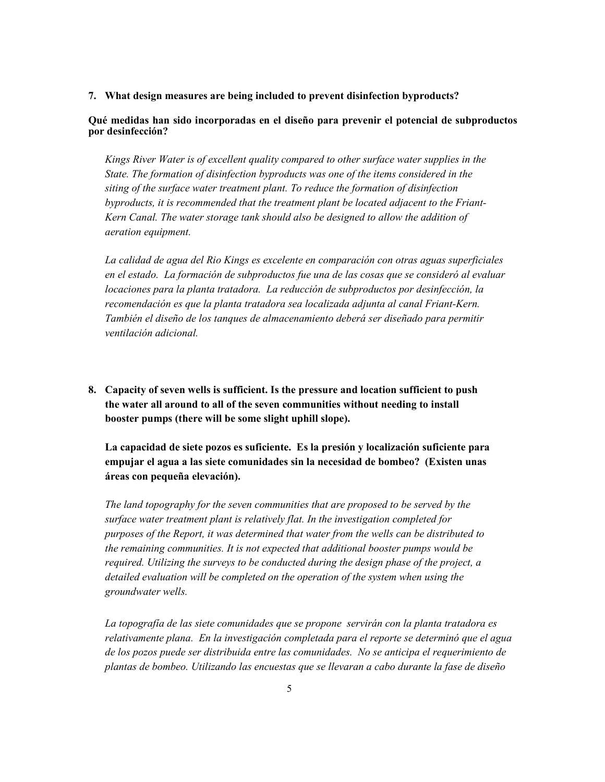#### **7. What design measures are being included to prevent disinfection byproducts?**

### **Qué medidas han sido incorporadas en el diseño para prevenir el potencial de subproductos por desinfección?**

*Kings River Water is of excellent quality compared to other surface water supplies in the State. The formation of disinfection byproducts was one of the items considered in the siting of the surface water treatment plant. To reduce the formation of disinfection byproducts, it is recommended that the treatment plant be located adjacent to the Friant-Kern Canal. The water storage tank should also be designed to allow the addition of aeration equipment.* 

*La calidad de agua del Rio Kings es excelente en comparación con otras aguas superficiales en el estado. La formación de subproductos fue una de las cosas que se consideró al evaluar locaciones para la planta tratadora. La reducción de subproductos por desinfección, la recomendación es que la planta tratadora sea localizada adjunta al canal Friant-Kern. También el diseño de los tanques de almacenamiento deberá ser diseñado para permitir ventilación adicional.* 

**8. Capacity of seven wells is sufficient. Is the pressure and location sufficient to push the water all around to all of the seven communities without needing to install booster pumps (there will be some slight uphill slope).** 

**La capacidad de siete pozos es suficiente. Es la presión y localización suficiente para empujar el agua a las siete comunidades sin la necesidad de bombeo? (Existen unas áreas con pequeña elevación).** 

*The land topography for the seven communities that are proposed to be served by the surface water treatment plant is relatively flat. In the investigation completed for purposes of the Report, it was determined that water from the wells can be distributed to the remaining communities. It is not expected that additional booster pumps would be required. Utilizing the surveys to be conducted during the design phase of the project, a detailed evaluation will be completed on the operation of the system when using the groundwater wells.* 

*La topografía de las siete comunidades que se propone servirán con la planta tratadora es relativamente plana. En la investigación completada para el reporte se determinó que el agua de los pozos puede ser distribuida entre las comunidades. No se anticipa el requerimiento de plantas de bombeo. Utilizando las encuestas que se llevaran a cabo durante la fase de diseño*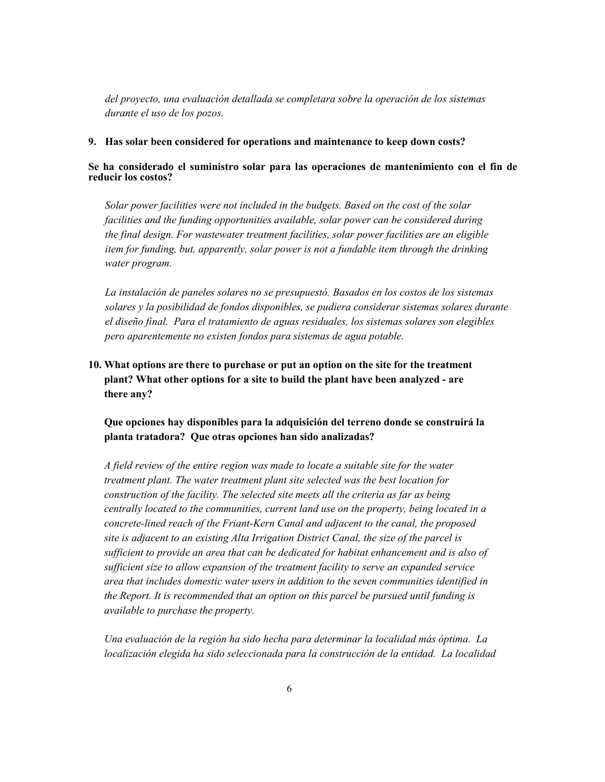*del proyecto, una evaluación detallada se completara sobre la operación de los sistemas durante el uso de los pozos.* 

#### **9. Has solar been considered for operations and maintenance to keep down costs?**

**Se ha considerado el suministro solar para las operaciones de mantenimiento con el fin de reducir los costos?** 

*Solar power facilities were not included in the budgets. Based on the cost of the solar facilities and the funding opportunities available, solar power can be considered during the final design. For wastewater treatment facilities, solar power facilities are an eligible item for funding, but, apparently, solar power is not a fundable item through the drinking water program.* 

*La instalación de paneles solares no se presupuestó. Basados en los costos de los sistemas solares y la posibilidad de fondos disponibles, se pudiera considerar sistemas solares durante el diseño final. Para el tratamiento de aguas residuales, los sistemas solares son elegibles pero aparentemente no existen fondos para sistemas de agua potable.* 

# **10. What options are there to purchase or put an option on the site for the treatment plant? What other options for a site to build the plant have been analyzed - are there any?**

**Que opciones hay disponibles para la adquisición del terreno donde se construirá la planta tratadora? Que otras opciones han sido analizadas?** 

*A field review of the entire region was made to locate a suitable site for the water treatment plant. The water treatment plant site selected was the best location for construction of the facility. The selected site meets all the criteria as far as being centrally located to the communities, current land use on the property, being located in a concrete-lined reach of the Friant-Kern Canal and adjacent to the canal, the proposed site is adjacent to an existing Alta Irrigation District Canal, the size of the parcel is sufficient to provide an area that can be dedicated for habitat enhancement and is also of sufficient size to allow expansion of the treatment facility to serve an expanded service area that includes domestic water users in addition to the seven communities identified in the Report. It is recommended that an option on this parcel be pursued until funding is available to purchase the property.* 

*Una evaluación de la región ha sido hecha para determinar la localidad más óptima. La localización elegida ha sido seleccionada para la construcción de la entidad. La localidad*